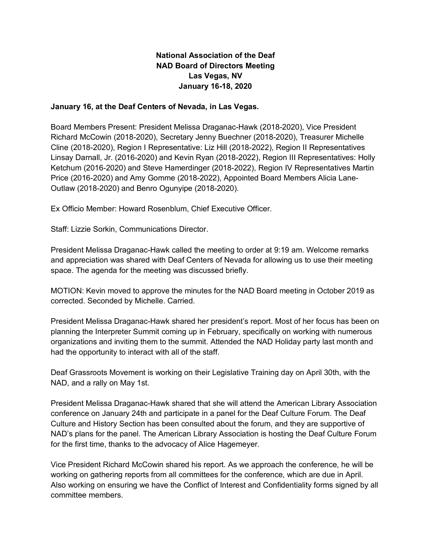## **National Association of the Deaf NAD Board of Directors Meeting Las Vegas, NV January 16-18, 2020**

## **January 16, at the Deaf Centers of Nevada, in Las Vegas.**

Board Members Present: President Melissa Draganac-Hawk (2018-2020), Vice President Richard McCowin (2018-2020), Secretary Jenny Buechner (2018-2020), Treasurer Michelle Cline (2018-2020), Region I Representative: Liz Hill (2018-2022), Region II Representatives Linsay Darnall, Jr. (2016-2020) and Kevin Ryan (2018-2022), Region III Representatives: Holly Ketchum (2016-2020) and Steve Hamerdinger (2018-2022), Region IV Representatives Martin Price (2016-2020) and Amy Gomme (2018-2022), Appointed Board Members Alicia Lane-Outlaw (2018-2020) and Benro Ogunyipe (2018-2020).

Ex Officio Member: Howard Rosenblum, Chief Executive Officer.

Staff: Lizzie Sorkin, Communications Director.

President Melissa Draganac-Hawk called the meeting to order at 9:19 am. Welcome remarks and appreciation was shared with Deaf Centers of Nevada for allowing us to use their meeting space. The agenda for the meeting was discussed briefly.

MOTION: Kevin moved to approve the minutes for the NAD Board meeting in October 2019 as corrected. Seconded by Michelle. Carried.

President Melissa Draganac-Hawk shared her president's report. Most of her focus has been on planning the Interpreter Summit coming up in February, specifically on working with numerous organizations and inviting them to the summit. Attended the NAD Holiday party last month and had the opportunity to interact with all of the staff.

Deaf Grassroots Movement is working on their Legislative Training day on April 30th, with the NAD, and a rally on May 1st.

President Melissa Draganac-Hawk shared that she will attend the American Library Association conference on January 24th and participate in a panel for the Deaf Culture Forum. The Deaf Culture and History Section has been consulted about the forum, and they are supportive of NAD's plans for the panel. The American Library Association is hosting the Deaf Culture Forum for the first time, thanks to the advocacy of Alice Hagemeyer.

Vice President Richard McCowin shared his report. As we approach the conference, he will be working on gathering reports from all committees for the conference, which are due in April. Also working on ensuring we have the Conflict of Interest and Confidentiality forms signed by all committee members.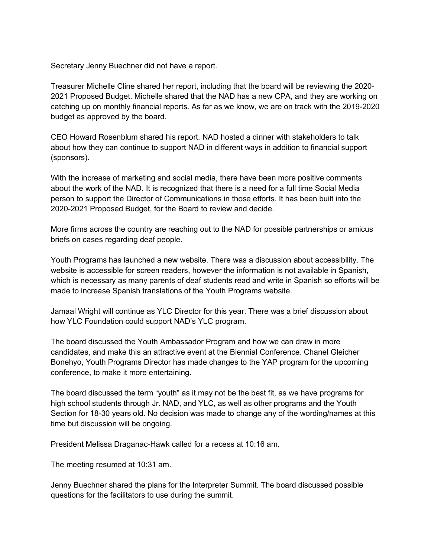Secretary Jenny Buechner did not have a report.

Treasurer Michelle Cline shared her report, including that the board will be reviewing the 2020- 2021 Proposed Budget. Michelle shared that the NAD has a new CPA, and they are working on catching up on monthly financial reports. As far as we know, we are on track with the 2019-2020 budget as approved by the board.

CEO Howard Rosenblum shared his report. NAD hosted a dinner with stakeholders to talk about how they can continue to support NAD in different ways in addition to financial support (sponsors).

With the increase of marketing and social media, there have been more positive comments about the work of the NAD. It is recognized that there is a need for a full time Social Media person to support the Director of Communications in those efforts. It has been built into the 2020-2021 Proposed Budget, for the Board to review and decide.

More firms across the country are reaching out to the NAD for possible partnerships or amicus briefs on cases regarding deaf people.

Youth Programs has launched a new website. There was a discussion about accessibility. The website is accessible for screen readers, however the information is not available in Spanish, which is necessary as many parents of deaf students read and write in Spanish so efforts will be made to increase Spanish translations of the Youth Programs website.

Jamaal Wright will continue as YLC Director for this year. There was a brief discussion about how YLC Foundation could support NAD's YLC program.

The board discussed the Youth Ambassador Program and how we can draw in more candidates, and make this an attractive event at the Biennial Conference. Chanel Gleicher Bonehyo, Youth Programs Director has made changes to the YAP program for the upcoming conference, to make it more entertaining.

The board discussed the term "youth" as it may not be the best fit, as we have programs for high school students through Jr. NAD, and YLC, as well as other programs and the Youth Section for 18-30 years old. No decision was made to change any of the wording/names at this time but discussion will be ongoing.

President Melissa Draganac-Hawk called for a recess at 10:16 am.

The meeting resumed at 10:31 am.

Jenny Buechner shared the plans for the Interpreter Summit. The board discussed possible questions for the facilitators to use during the summit.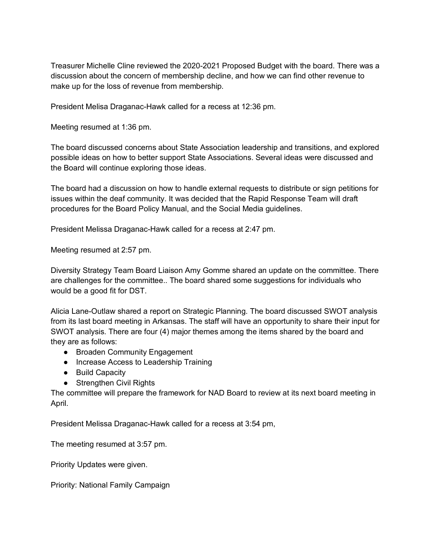Treasurer Michelle Cline reviewed the 2020-2021 Proposed Budget with the board. There was a discussion about the concern of membership decline, and how we can find other revenue to make up for the loss of revenue from membership.

President Melisa Draganac-Hawk called for a recess at 12:36 pm.

Meeting resumed at 1:36 pm.

The board discussed concerns about State Association leadership and transitions, and explored possible ideas on how to better support State Associations. Several ideas were discussed and the Board will continue exploring those ideas.

The board had a discussion on how to handle external requests to distribute or sign petitions for issues within the deaf community. It was decided that the Rapid Response Team will draft procedures for the Board Policy Manual, and the Social Media guidelines.

President Melissa Draganac-Hawk called for a recess at 2:47 pm.

Meeting resumed at 2:57 pm.

Diversity Strategy Team Board Liaison Amy Gomme shared an update on the committee. There are challenges for the committee.. The board shared some suggestions for individuals who would be a good fit for DST.

Alicia Lane-Outlaw shared a report on Strategic Planning. The board discussed SWOT analysis from its last board meeting in Arkansas. The staff will have an opportunity to share their input for SWOT analysis. There are four (4) major themes among the items shared by the board and they are as follows:

- Broaden Community Engagement
- Increase Access to Leadership Training
- Build Capacity
- Strengthen Civil Rights

The committee will prepare the framework for NAD Board to review at its next board meeting in April.

President Melissa Draganac-Hawk called for a recess at 3:54 pm,

The meeting resumed at 3:57 pm.

Priority Updates were given.

Priority: National Family Campaign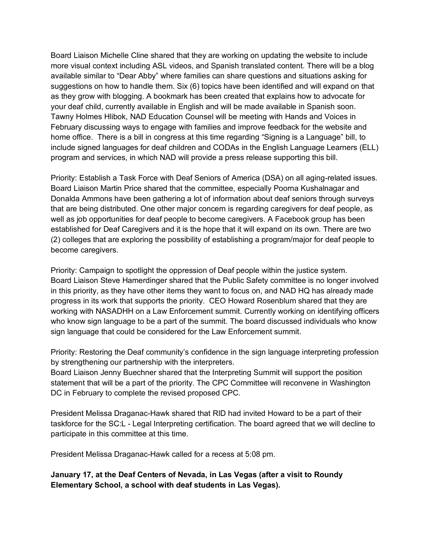Board Liaison Michelle Cline shared that they are working on updating the website to include more visual context including ASL videos, and Spanish translated content. There will be a blog available similar to "Dear Abby" where families can share questions and situations asking for suggestions on how to handle them. Six (6) topics have been identified and will expand on that as they grow with blogging. A bookmark has been created that explains how to advocate for your deaf child, currently available in English and will be made available in Spanish soon. Tawny Holmes Hlibok, NAD Education Counsel will be meeting with Hands and Voices in February discussing ways to engage with families and improve feedback for the website and home office. There is a bill in congress at this time regarding "Signing is a Language" bill, to include signed languages for deaf children and CODAs in the English Language Learners (ELL) program and services, in which NAD will provide a press release supporting this bill.

Priority: Establish a Task Force with Deaf Seniors of America (DSA) on all aging-related issues. Board Liaison Martin Price shared that the committee, especially Poorna Kushalnagar and Donalda Ammons have been gathering a lot of information about deaf seniors through surveys that are being distributed. One other major concern is regarding caregivers for deaf people, as well as job opportunities for deaf people to become caregivers. A Facebook group has been established for Deaf Caregivers and it is the hope that it will expand on its own. There are two (2) colleges that are exploring the possibility of establishing a program/major for deaf people to become caregivers.

Priority: Campaign to spotlight the oppression of Deaf people within the justice system. Board Liaison Steve Hamerdinger shared that the Public Safety committee is no longer involved in this priority, as they have other items they want to focus on, and NAD HQ has already made progress in its work that supports the priority. CEO Howard Rosenblum shared that they are working with NASADHH on a Law Enforcement summit. Currently working on identifying officers who know sign language to be a part of the summit. The board discussed individuals who know sign language that could be considered for the Law Enforcement summit.

Priority: Restoring the Deaf community's confidence in the sign language interpreting profession by strengthening our partnership with the interpreters.

Board Liaison Jenny Buechner shared that the Interpreting Summit will support the position statement that will be a part of the priority. The CPC Committee will reconvene in Washington DC in February to complete the revised proposed CPC.

President Melissa Draganac-Hawk shared that RID had invited Howard to be a part of their taskforce for the SC:L - Legal Interpreting certification. The board agreed that we will decline to participate in this committee at this time.

President Melissa Draganac-Hawk called for a recess at 5:08 pm.

**January 17, at the Deaf Centers of Nevada, in Las Vegas (after a visit to Roundy Elementary School, a school with deaf students in Las Vegas).**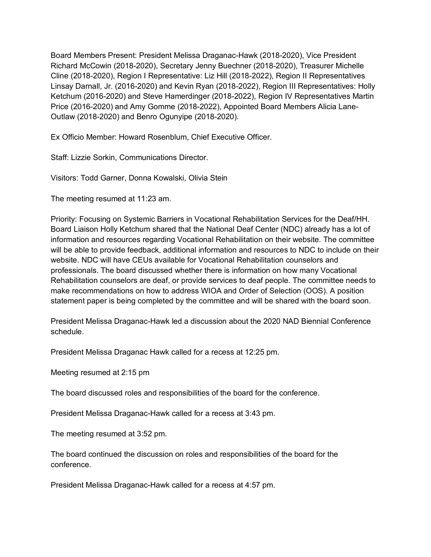Board Members Present: President Melissa Draganac-Hawk (2018-2020), Vice President Richard McCowin (2018-2020), Secretary Jenny Buechner (2018-2020), Treasurer Michelle Cline (2018-2020), Region I Representative: Liz Hill (2018-2022), Region II Representatives Linsay Darnall, Jr. (2016-2020) and Kevin Ryan (2018-2022), Region III Representatives: Holly Ketchum (2016-2020) and Steve Hamerdinger (2018-2022), Region IV Representatives Martin Price (2016-2020) and Amy Gomme (2018-2022), Appointed Board Members Alicia Lane-Outlaw (2018-2020) and Benro Ogunyipe (2018-2020).

Ex Officio Member: Howard Rosenblum, Chief Executive Officer.

Staff: Lizzie Sorkin, Communications Director.

Visitors: Todd Garner, Donna Kowalski, Olivia Stein

The meeting resumed at 11:23 am.

Priority: Focusing on Systemic Barriers in Vocational Rehabilitation Services for the Deaf/HH. Board Liaison Holly Ketchum shared that the National Deaf Center (NDC) already has a lot of information and resources regarding Vocational Rehabilitation on their website. The committee will be able to provide feedback, additional information and resources to NDC to include on their website. NDC will have CEUs available for Vocational Rehabilitation counselors and professionals. The board discussed whether there is information on how many Vocational Rehabilitation counselors are deaf, or provide services to deaf people. The committee needs to make recommendations on how to address WIOA and Order of Selection (OOS). A position statement paper is being completed by the committee and will be shared with the board soon.

President Melissa Draganac-Hawk led a discussion about the 2020 NAD Biennial Conference schedule.

President Melissa Draganac Hawk called for a recess at 12:25 pm.

Meeting resumed at 2:15 pm

The board discussed roles and responsibilities of the board for the conference.

President Melissa Draganac-Hawk called for a recess at 3:43 pm.

The meeting resumed at 3:52 pm.

The board continued the discussion on roles and responsibilities of the board for the conference.

President Melissa Draganac-Hawk called for a recess at 4:57 pm.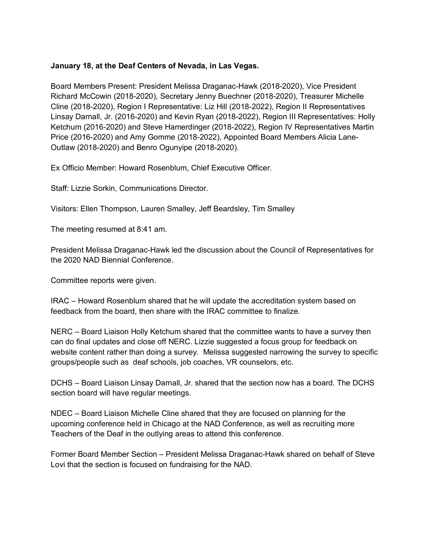## **January 18, at the Deaf Centers of Nevada, in Las Vegas.**

Board Members Present: President Melissa Draganac-Hawk (2018-2020), Vice President Richard McCowin (2018-2020), Secretary Jenny Buechner (2018-2020), Treasurer Michelle Cline (2018-2020), Region I Representative: Liz Hill (2018-2022), Region II Representatives Linsay Darnall, Jr. (2016-2020) and Kevin Ryan (2018-2022), Region III Representatives: Holly Ketchum (2016-2020) and Steve Hamerdinger (2018-2022), Region IV Representatives Martin Price (2016-2020) and Amy Gomme (2018-2022), Appointed Board Members Alicia Lane-Outlaw (2018-2020) and Benro Ogunyipe (2018-2020).

Ex Officio Member: Howard Rosenblum, Chief Executive Officer.

Staff: Lizzie Sorkin, Communications Director.

Visitors: Ellen Thompson, Lauren Smalley, Jeff Beardsley, Tim Smalley

The meeting resumed at 8:41 am.

President Melissa Draganac-Hawk led the discussion about the Council of Representatives for the 2020 NAD Biennial Conference.

Committee reports were given.

IRAC – Howard Rosenblum shared that he will update the accreditation system based on feedback from the board, then share with the IRAC committee to finalize.

NERC – Board Liaison Holly Ketchum shared that the committee wants to have a survey then can do final updates and close off NERC. Lizzie suggested a focus group for feedback on website content rather than doing a survey. Melissa suggested narrowing the survey to specific groups/people such as deaf schools, job coaches, VR counselors, etc.

DCHS – Board Liaison Linsay Darnall, Jr. shared that the section now has a board. The DCHS section board will have regular meetings.

NDEC – Board Liaison Michelle Cline shared that they are focused on planning for the upcoming conference held in Chicago at the NAD Conference, as well as recruiting more Teachers of the Deaf in the outlying areas to attend this conference.

Former Board Member Section – President Melissa Draganac-Hawk shared on behalf of Steve Lovi that the section is focused on fundraising for the NAD.